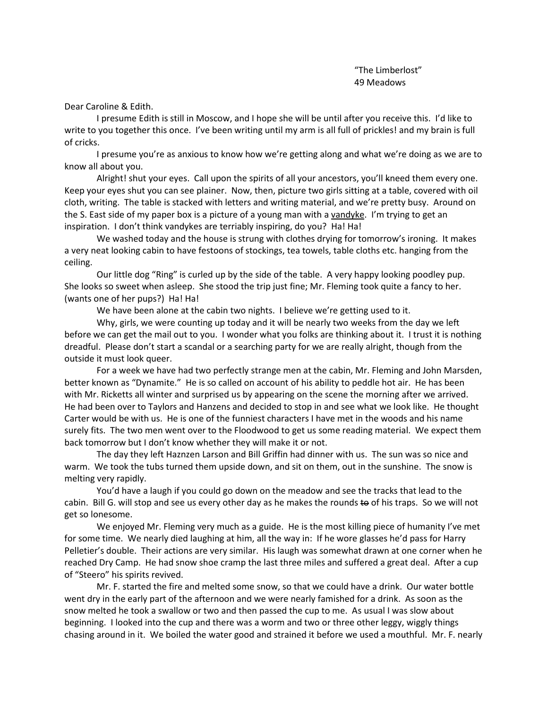Dear Caroline & Edith.

I presume Edith is still in Moscow, and I hope she will be until after you receive this. I'd like to write to you together this once. I've been writing until my arm is all full of prickles! and my brain is full of cricks.

I presume you're as anxious to know how we're getting along and what we're doing as we are to know all about you.

Alright! shut your eyes. Call upon the spirits of all your ancestors, you'll kneed them every one. Keep your eyes shut you can see plainer. Now, then, picture two girls sitting at a table, covered with oil cloth, writing. The table is stacked with letters and writing material, and we're pretty busy. Around on the S. East side of my paper box is a picture of a young man with a vandyke. I'm trying to get an inspiration. I don't think vandykes are terriably inspiring, do you? Ha! Ha!

We washed today and the house is strung with clothes drying for tomorrow's ironing. It makes a very neat looking cabin to have festoons of stockings, tea towels, table cloths etc. hanging from the ceiling.

Our little dog "Ring" is curled up by the side of the table. A very happy looking poodley pup. She looks so sweet when asleep. She stood the trip just fine; Mr. Fleming took quite a fancy to her. (wants one of her pups?) Ha! Ha!

We have been alone at the cabin two nights. I believe we're getting used to it.

Why, girls, we were counting up today and it will be nearly two weeks from the day we left before we can get the mail out to you. I wonder what you folks are thinking about it. I trust it is nothing dreadful. Please don't start a scandal or a searching party for we are really alright, though from the outside it must look queer.

For a week we have had two perfectly strange men at the cabin, Mr. Fleming and John Marsden, better known as "Dynamite." He is so called on account of his ability to peddle hot air. He has been with Mr. Ricketts all winter and surprised us by appearing on the scene the morning after we arrived. He had been over to Taylors and Hanzens and decided to stop in and see what we look like. He thought Carter would be with us. He is one of the funniest characters I have met in the woods and his name surely fits. The two men went over to the Floodwood to get us some reading material. We expect them back tomorrow but I don't know whether they will make it or not.

The day they left Haznzen Larson and Bill Griffin had dinner with us. The sun was so nice and warm. We took the tubs turned them upside down, and sit on them, out in the sunshine. The snow is melting very rapidly.

You'd have a laugh if you could go down on the meadow and see the tracks that lead to the cabin. Bill G. will stop and see us every other day as he makes the rounds to of his traps. So we will not get so lonesome.

We enjoyed Mr. Fleming very much as a guide. He is the most killing piece of humanity I've met for some time. We nearly died laughing at him, all the way in: If he wore glasses he'd pass for Harry Pelletier's double. Their actions are very similar. His laugh was somewhat drawn at one corner when he reached Dry Camp. He had snow shoe cramp the last three miles and suffered a great deal. After a cup of "Steero" his spirits revived.

Mr. F. started the fire and melted some snow, so that we could have a drink. Our water bottle went dry in the early part of the afternoon and we were nearly famished for a drink. As soon as the snow melted he took a swallow or two and then passed the cup to me. As usual I was slow about beginning. I looked into the cup and there was a worm and two or three other leggy, wiggly things chasing around in it. We boiled the water good and strained it before we used a mouthful. Mr. F. nearly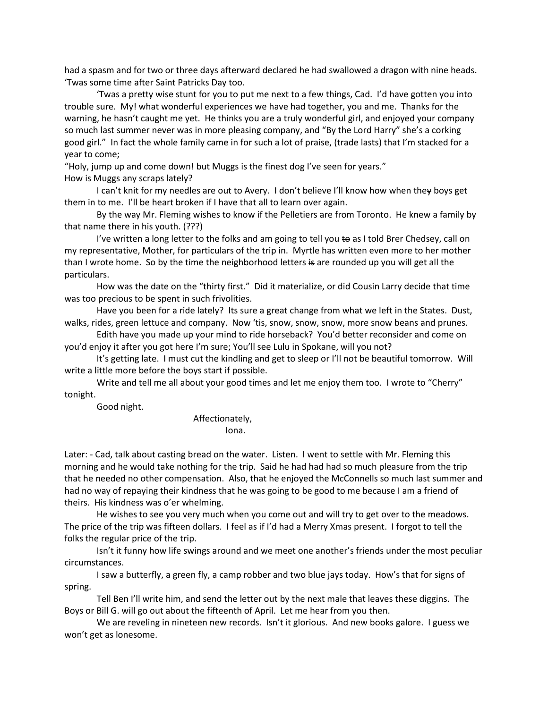had a spasm and for two or three days afterward declared he had swallowed a dragon with nine heads. 'Twas some time after Saint Patricks Day too.

'Twas a pretty wise stunt for you to put me next to a few things, Cad. I'd have gotten you into trouble sure. My! what wonderful experiences we have had together, you and me. Thanks for the warning, he hasn't caught me yet. He thinks you are a truly wonderful girl, and enjoyed your company so much last summer never was in more pleasing company, and "By the Lord Harry" she's a corking good girl." In fact the whole family came in for such a lot of praise, (trade lasts) that I'm stacked for a year to come;

"Holy, jump up and come down! but Muggs is the finest dog I've seen for years."

How is Muggs any scraps lately?

I can't knit for my needles are out to Avery. I don't believe I'll know how when they boys get them in to me. I'll be heart broken if I have that all to learn over again.

By the way Mr. Fleming wishes to know if the Pelletiers are from Toronto. He knew a family by that name there in his youth. (???)

I've written a long letter to the folks and am going to tell you  $\leftrightarrow$  as I told Brer Chedsey, call on my representative, Mother, for particulars of the trip in. Myrtle has written even more to her mother than I wrote home. So by the time the neighborhood letters is are rounded up you will get all the particulars.

How was the date on the "thirty first." Did it materialize, or did Cousin Larry decide that time was too precious to be spent in such frivolities.

Have you been for a ride lately? Its sure a great change from what we left in the States. Dust, walks, rides, green lettuce and company. Now 'tis, snow, snow, snow, more snow beans and prunes.

Edith have you made up your mind to ride horseback? You'd better reconsider and come on you'd enjoy it after you got here I'm sure; You'll see Lulu in Spokane, will you not?

It's getting late. I must cut the kindling and get to sleep or I'll not be beautiful tomorrow. Will write a little more before the boys start if possible.

Write and tell me all about your good times and let me enjoy them too. I wrote to "Cherry" tonight.

Good night.

Affectionately,

Iona.

Later: - Cad, talk about casting bread on the water. Listen. I went to settle with Mr. Fleming this morning and he would take nothing for the trip. Said he had had had so much pleasure from the trip that he needed no other compensation. Also, that he enjoyed the McConnells so much last summer and had no way of repaying their kindness that he was going to be good to me because I am a friend of theirs. His kindness was o'er whelming.

He wishes to see you very much when you come out and will try to get over to the meadows. The price of the trip was fifteen dollars. I feel as if I'd had a Merry Xmas present. I forgot to tell the folks the regular price of the trip.

Isn't it funny how life swings around and we meet one another's friends under the most peculiar circumstances.

I saw a butterfly, a green fly, a camp robber and two blue jays today. How's that for signs of spring.

Tell Ben I'll write him, and send the letter out by the next male that leaves these diggins. The Boys or Bill G. will go out about the fifteenth of April. Let me hear from you then.

We are reveling in nineteen new records. Isn't it glorious. And new books galore. I guess we won't get as lonesome.